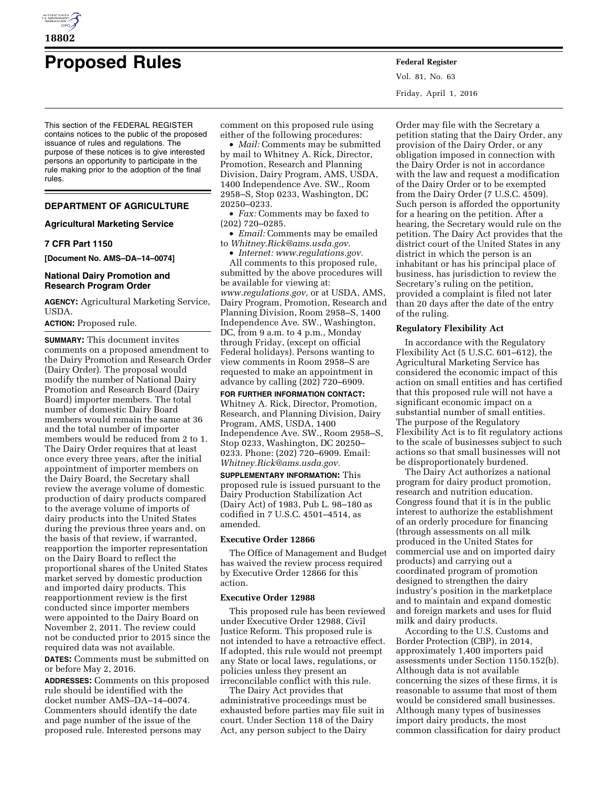

# **Proposed Rules Federal Register**

This section of the FEDERAL REGISTER contains notices to the public of the proposed issuance of rules and regulations. The purpose of these notices is to give interested persons an opportunity to participate in the rule making prior to the adoption of the final rules.

# **DEPARTMENT OF AGRICULTURE**

## **Agricultural Marketing Service**

# **7 CFR Part 1150**

**[Document No. AMS–DA–14–0074]** 

## **National Dairy Promotion and Research Program Order**

**AGENCY:** Agricultural Marketing Service, USDA.

# **ACTION:** Proposed rule.

**SUMMARY:** This document invites comments on a proposed amendment to the Dairy Promotion and Research Order (Dairy Order). The proposal would modify the number of National Dairy Promotion and Research Board (Dairy Board) importer members. The total number of domestic Dairy Board members would remain the same at 36 and the total number of importer members would be reduced from 2 to 1. The Dairy Order requires that at least once every three years, after the initial appointment of importer members on the Dairy Board, the Secretary shall review the average volume of domestic production of dairy products compared to the average volume of imports of dairy products into the United States during the previous three years and, on the basis of that review, if warranted, reapportion the importer representation on the Dairy Board to reflect the proportional shares of the United States market served by domestic production and imported dairy products. This reapportionment review is the first conducted since importer members were appointed to the Dairy Board on November 2, 2011. The review could not be conducted prior to 2015 since the required data was not available.

**DATES:** Comments must be submitted on or before May 2, 2016.

**ADDRESSES:** Comments on this proposed rule should be identified with the docket number AMS–DA–14–0074. Commenters should identify the date and page number of the issue of the proposed rule. Interested persons may

comment on this proposed rule using either of the following procedures:

• *Mail:* Comments may be submitted by mail to Whitney A. Rick, Director, Promotion, Research and Planning Division, Dairy Program, AMS, USDA, 1400 Independence Ave. SW., Room 2958–S, Stop 0233, Washington, DC 20250–0233.

• *Fax:* Comments may be faxed to (202) 720–0285.

• *Email:* Comments may be emailed to *[Whitney.Rick@ams.usda.gov.](mailto:Whitney.Rick@ams.usda.gov)* 

• *Internet: [www.regulations.gov.](http://www.regulations.gov)* 

All comments to this proposed rule, submitted by the above procedures will be available for viewing at: *[www.regulations.gov,](http://www.regulations.gov)* or at USDA, AMS, Dairy Program, Promotion, Research and Planning Division, Room 2958–S, 1400 Independence Ave. SW., Washington, DC, from 9 a.m. to 4 p.m., Monday through Friday, (except on official Federal holidays). Persons wanting to view comments in Room 2958–S are requested to make an appointment in advance by calling (202) 720–6909.

### **FOR FURTHER INFORMATION CONTACT:**

Whitney A. Rick, Director, Promotion, Research, and Planning Division, Dairy Program, AMS, USDA, 1400 Independence Ave. SW., Room 2958–S, Stop 0233, Washington, DC 20250– 0233. Phone: (202) 720–6909. Email: *[Whitney.Rick@ams.usda.gov.](mailto:Whitney.Rick@ams.usda.gov)* 

**SUPPLEMENTARY INFORMATION:** This proposed rule is issued pursuant to the Dairy Production Stabilization Act (Dairy Act) of 1983, Pub L. 98–180 as codified in 7 U.S.C. 4501–4514, as amended.

# **Executive Order 12866**

The Office of Management and Budget has waived the review process required by Executive Order 12866 for this action.

#### **Executive Order 12988**

This proposed rule has been reviewed under Executive Order 12988, Civil Justice Reform. This proposed rule is not intended to have a retroactive effect. If adopted, this rule would not preempt any State or local laws, regulations, or policies unless they present an irreconcilable conflict with this rule.

The Dairy Act provides that administrative proceedings must be exhausted before parties may file suit in court. Under Section 118 of the Dairy Act, any person subject to the Dairy

Vol. 81, No. 63 Friday, April 1, 2016

Order may file with the Secretary a petition stating that the Dairy Order, any provision of the Dairy Order, or any obligation imposed in connection with the Dairy Order is not in accordance with the law and request a modification of the Dairy Order or to be exempted from the Dairy Order (7 U.S.C. 4509). Such person is afforded the opportunity for a hearing on the petition. After a hearing, the Secretary would rule on the petition. The Dairy Act provides that the district court of the United States in any district in which the person is an inhabitant or has his principal place of business, has jurisdiction to review the Secretary's ruling on the petition, provided a complaint is filed not later than 20 days after the date of the entry of the ruling.

# **Regulatory Flexibility Act**

In accordance with the Regulatory Flexibility Act (5 U.S.C. 601–612), the Agricultural Marketing Service has considered the economic impact of this action on small entities and has certified that this proposed rule will not have a significant economic impact on a substantial number of small entities. The purpose of the Regulatory Flexibility Act is to fit regulatory actions to the scale of businesses subject to such actions so that small businesses will not be disproportionately burdened.

The Dairy Act authorizes a national program for dairy product promotion, research and nutrition education. Congress found that it is in the public interest to authorize the establishment of an orderly procedure for financing (through assessments on all milk produced in the United States for commercial use and on imported dairy products) and carrying out a coordinated program of promotion designed to strengthen the dairy industry's position in the marketplace and to maintain and expand domestic and foreign markets and uses for fluid milk and dairy products.

According to the U.S. Customs and Border Protection (CBP), in 2014, approximately 1,400 importers paid assessments under Section 1150.152(b). Although data is not available concerning the sizes of these firms, it is reasonable to assume that most of them would be considered small businesses. Although many types of businesses import dairy products, the most common classification for dairy product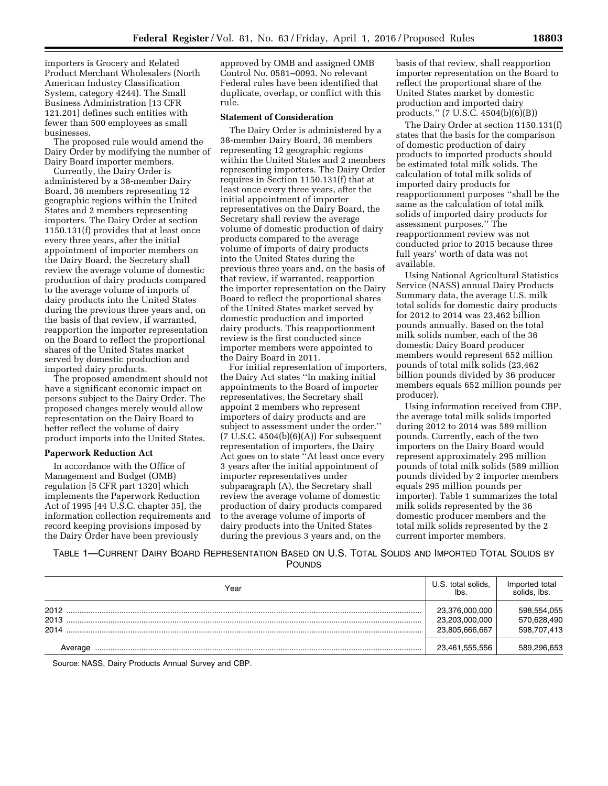importers is Grocery and Related Product Merchant Wholesalers (North American Industry Classification System, category 4244). The Small Business Administration [13 CFR 121.201] defines such entities with fewer than 500 employees as small businesses.

The proposed rule would amend the Dairy Order by modifying the number of Dairy Board importer members.

Currently, the Dairy Order is administered by a 38-member Dairy Board, 36 members representing 12 geographic regions within the United States and 2 members representing importers. The Dairy Order at section 1150.131(f) provides that at least once every three years, after the initial appointment of importer members on the Dairy Board, the Secretary shall review the average volume of domestic production of dairy products compared to the average volume of imports of dairy products into the United States during the previous three years and, on the basis of that review, if warranted, reapportion the importer representation on the Board to reflect the proportional shares of the United States market served by domestic production and imported dairy products.

The proposed amendment should not have a significant economic impact on persons subject to the Dairy Order. The proposed changes merely would allow representation on the Dairy Board to better reflect the volume of dairy product imports into the United States.

# **Paperwork Reduction Act**

In accordance with the Office of Management and Budget (OMB) regulation [5 CFR part 1320] which implements the Paperwork Reduction Act of 1995 [44 U.S.C. chapter 35], the information collection requirements and record keeping provisions imposed by the Dairy Order have been previously

approved by OMB and assigned OMB Control No. 0581–0093. No relevant Federal rules have been identified that duplicate, overlap, or conflict with this rule.

### **Statement of Consideration**

The Dairy Order is administered by a 38-member Dairy Board, 36 members representing 12 geographic regions within the United States and 2 members representing importers. The Dairy Order requires in Section 1150.131(f) that at least once every three years, after the initial appointment of importer representatives on the Dairy Board, the Secretary shall review the average volume of domestic production of dairy products compared to the average volume of imports of dairy products into the United States during the previous three years and, on the basis of that review, if warranted, reapportion the importer representation on the Dairy Board to reflect the proportional shares of the United States market served by domestic production and imported dairy products. This reapportionment review is the first conducted since importer members were appointed to the Dairy Board in 2011.

For initial representation of importers, the Dairy Act states ''In making initial appointments to the Board of importer representatives, the Secretary shall appoint 2 members who represent importers of dairy products and are subject to assessment under the order.''  $(7 \text{ U.S.C. } 4504(b)(6)(A))$  For subsequent representation of importers, the Dairy Act goes on to state ''At least once every 3 years after the initial appointment of importer representatives under subparagraph (A), the Secretary shall review the average volume of domestic production of dairy products compared to the average volume of imports of dairy products into the United States during the previous 3 years and, on the

basis of that review, shall reapportion importer representation on the Board to reflect the proportional share of the United States market by domestic production and imported dairy products.'' (7 U.S.C. 4504(b)(6)(B))

The Dairy Order at section 1150.131(f) states that the basis for the comparison of domestic production of dairy products to imported products should be estimated total milk solids. The calculation of total milk solids of imported dairy products for reapportionment purposes ''shall be the same as the calculation of total milk solids of imported dairy products for assessment purposes.'' The reapportionment review was not conducted prior to 2015 because three full years' worth of data was not available.

Using National Agricultural Statistics Service (NASS) annual Dairy Products Summary data, the average U.S. milk total solids for domestic dairy products for 2012 to 2014 was 23,462 billion pounds annually. Based on the total milk solids number, each of the 36 domestic Dairy Board producer members would represent 652 million pounds of total milk solids (23,462 billion pounds divided by 36 producer members equals 652 million pounds per producer).

Using information received from CBP, the average total milk solids imported during 2012 to 2014 was 589 million pounds. Currently, each of the two importers on the Dairy Board would represent approximately 295 million pounds of total milk solids (589 million pounds divided by 2 importer members equals 295 million pounds per importer). Table 1 summarizes the total milk solids represented by the 36 domestic producer members and the total milk solids represented by the 2 current importer members.

TABLE 1—CURRENT DAIRY BOARD REPRESENTATION BASED ON U.S. TOTAL SOLIDS AND IMPORTED TOTAL SOLIDS BY POUNDS

| Year                 | U.S. total solids,<br>lbs.                         | Imported total<br>solids, lbs.            |
|----------------------|----------------------------------------------------|-------------------------------------------|
| 2012<br>2013<br>2014 | 23,376,000,000<br>23.203.000.000<br>23.805.666.667 | 598,554,055<br>570,628,490<br>598,707,413 |
| Average              | 23,461,555,556                                     | 589.296.653                               |

Source: NASS, Dairy Products Annual Survey and CBP.